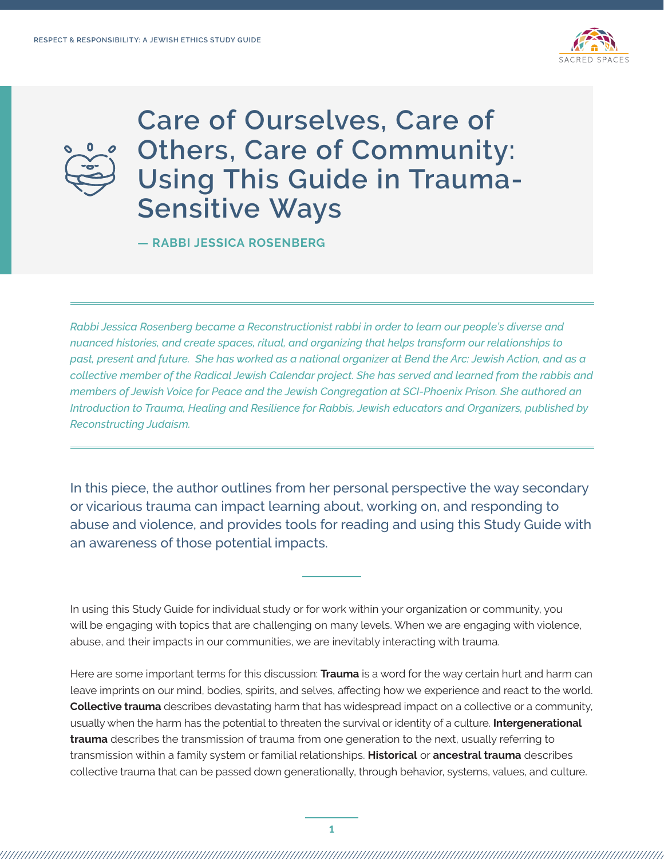



**Care of Ourselves, Care of Others, Care of Community: Using This Guide in Trauma-Sensitive Ways** 

**— RABBI JESSICA ROSENBERG** 

*Rabbi Jessica Rosenberg became a Reconstructionist rabbi in order to learn our people's diverse and nuanced histories, and create spaces, ritual, and organizing that helps transform our relationships to past, present and future. She has worked as a national organizer at Bend the Arc: Jewish Action, and as a collective member of the Radical Jewish Calendar project. She has served and learned from the rabbis and members of Jewish Voice for Peace and the Jewish Congregation at SCI-Phoenix Prison. She authored an Introduction to Trauma, Healing and Resilience for Rabbis, Jewish educators and Organizers, published by Reconstructing Judaism.* 

In this piece, the author outlines from her personal perspective the way secondary or vicarious trauma can impact learning about, working on, and responding to abuse and violence, and provides tools for reading and using this Study Guide with an awareness of those potential impacts.

In using this Study Guide for individual study or for work within your organization or community, you will be engaging with topics that are challenging on many levels. When we are engaging with violence, abuse, and their impacts in our communities, we are inevitably interacting with trauma.

Here are some important terms for this discussion: **Trauma** is a word for the way certain hurt and harm can leave imprints on our mind, bodies, spirits, and selves, affecting how we experience and react to the world. **Collective trauma** describes devastating harm that has widespread impact on a collective or a community, usually when the harm has the potential to threaten the survival or identity of a culture. **Intergenerational trauma** describes the transmission of trauma from one generation to the next, usually referring to transmission within a family system or familial relationships. **Historical** or **ancestral trauma** describes collective trauma that can be passed down generationally, through behavior, systems, values, and culture.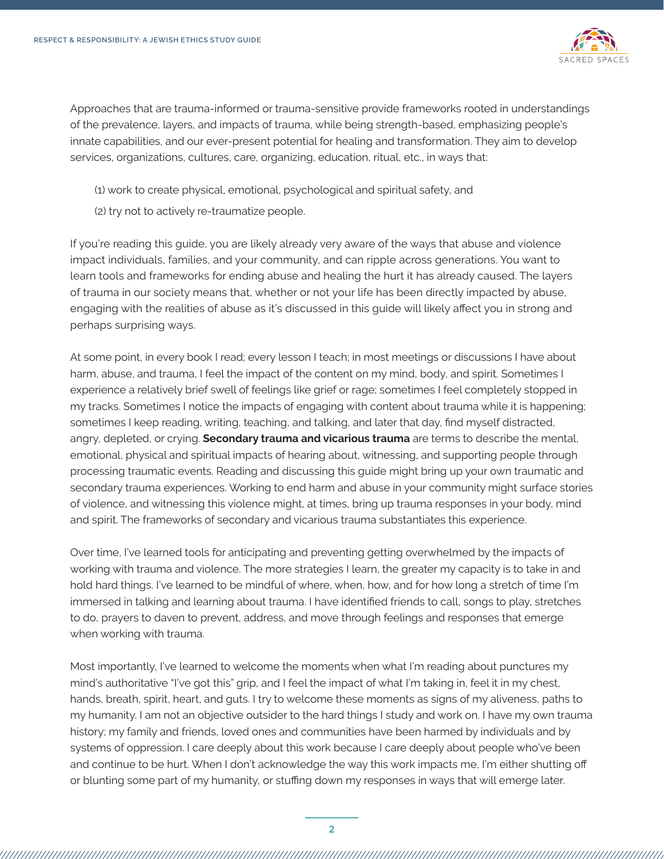

Approaches that are trauma-informed or trauma-sensitive provide frameworks rooted in understandings of the prevalence, layers, and impacts of trauma, while being strength-based, emphasizing people's innate capabilities, and our ever-present potential for healing and transformation. They aim to develop services, organizations, cultures, care, organizing, education, ritual, etc., in ways that:

- (1) work to create physical, emotional, psychological and spiritual safety, and
- (2) try not to actively re-traumatize people.

If you're reading this guide, you are likely already very aware of the ways that abuse and violence impact individuals, families, and your community, and can ripple across generations. You want to learn tools and frameworks for ending abuse and healing the hurt it has already caused. The layers of trauma in our society means that, whether or not your life has been directly impacted by abuse, engaging with the realities of abuse as it's discussed in this guide will likely affect you in strong and perhaps surprising ways.

At some point, in every book I read; every lesson I teach; in most meetings or discussions I have about harm, abuse, and trauma, I feel the impact of the content on my mind, body, and spirit. Sometimes I experience a relatively brief swell of feelings like grief or rage; sometimes I feel completely stopped in my tracks. Sometimes I notice the impacts of engaging with content about trauma while it is happening; sometimes I keep reading, writing, teaching, and talking, and later that day, find myself distracted, angry, depleted, or crying. **Secondary trauma and vicarious trauma** are terms to describe the mental, emotional, physical and spiritual impacts of hearing about, witnessing, and supporting people through processing traumatic events. Reading and discussing this guide might bring up your own traumatic and secondary trauma experiences. Working to end harm and abuse in your community might surface stories of violence, and witnessing this violence might, at times, bring up trauma responses in your body, mind and spirit. The frameworks of secondary and vicarious trauma substantiates this experience.

Over time, I've learned tools for anticipating and preventing getting overwhelmed by the impacts of working with trauma and violence. The more strategies I learn, the greater my capacity is to take in and hold hard things. I've learned to be mindful of where, when, how, and for how long a stretch of time I'm immersed in talking and learning about trauma. I have identified friends to call, songs to play, stretches to do, prayers to daven to prevent, address, and move through feelings and responses that emerge when working with trauma.

Most importantly, I've learned to welcome the moments when what I'm reading about punctures my mind's authoritative "I've got this" grip, and I feel the impact of what I'm taking in, feel it in my chest, hands, breath, spirit, heart, and guts. I try to welcome these moments as signs of my aliveness, paths to my humanity. I am not an objective outsider to the hard things I study and work on. I have my own trauma history; my family and friends, loved ones and communities have been harmed by individuals and by systems of oppression. I care deeply about this work because I care deeply about people who've been and continue to be hurt. When I don't acknowledge the way this work impacts me, I'm either shutting off or blunting some part of my humanity, or stuffing down my responses in ways that will emerge later.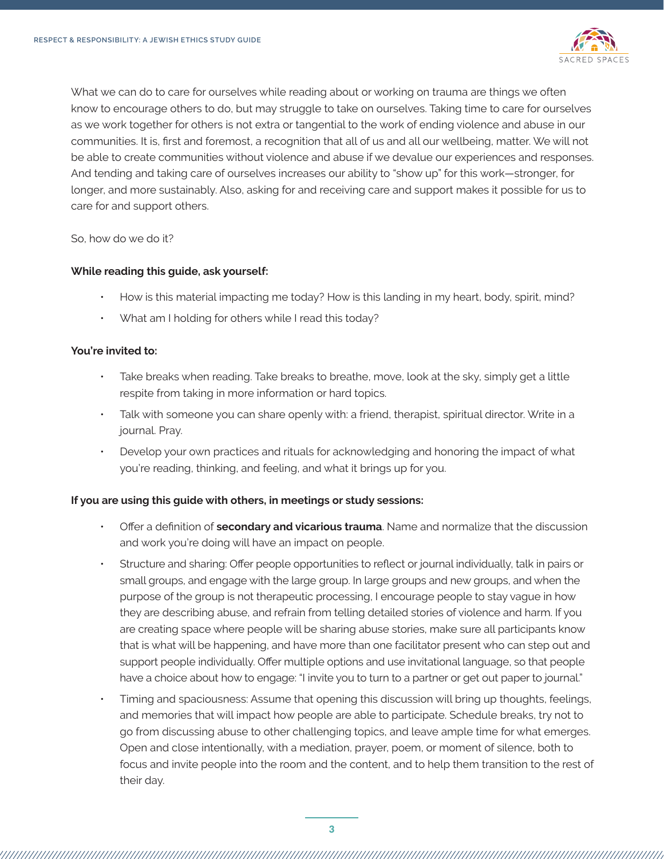

What we can do to care for ourselves while reading about or working on trauma are things we often know to encourage others to do, but may struggle to take on ourselves. Taking time to care for ourselves as we work together for others is not extra or tangential to the work of ending violence and abuse in our communities. It is, first and foremost, a recognition that all of us and all our wellbeing, matter. We will not be able to create communities without violence and abuse if we devalue our experiences and responses. And tending and taking care of ourselves increases our ability to "show up" for this work—stronger, for longer, and more sustainably. Also, asking for and receiving care and support makes it possible for us to care for and support others.

## So, how do we do it?

## **While reading this guide, ask yourself:**

- How is this material impacting me today? How is this landing in my heart, body, spirit, mind?
- What am I holding for others while I read this today?

#### **You're invited to:**

- Take breaks when reading. Take breaks to breathe, move, look at the sky, simply get a little respite from taking in more information or hard topics.
- Talk with someone you can share openly with: a friend, therapist, spiritual director. Write in a journal. Pray.
- Develop your own practices and rituals for acknowledging and honoring the impact of what you're reading, thinking, and feeling, and what it brings up for you.

# **If you are using this guide with others, in meetings or study sessions:**

- Offer a definition of **secondary and vicarious trauma**. Name and normalize that the discussion and work you're doing will have an impact on people.
- Structure and sharing: Offer people opportunities to reflect or journal individually, talk in pairs or small groups, and engage with the large group. In large groups and new groups, and when the purpose of the group is not therapeutic processing, I encourage people to stay vague in how they are describing abuse, and refrain from telling detailed stories of violence and harm. If you are creating space where people will be sharing abuse stories, make sure all participants know that is what will be happening, and have more than one facilitator present who can step out and support people individually. Offer multiple options and use invitational language, so that people have a choice about how to engage: "I invite you to turn to a partner or get out paper to journal."
- Timing and spaciousness: Assume that opening this discussion will bring up thoughts, feelings, and memories that will impact how people are able to participate. Schedule breaks, try not to go from discussing abuse to other challenging topics, and leave ample time for what emerges. Open and close intentionally, with a mediation, prayer, poem, or moment of silence, both to focus and invite people into the room and the content, and to help them transition to the rest of their day.